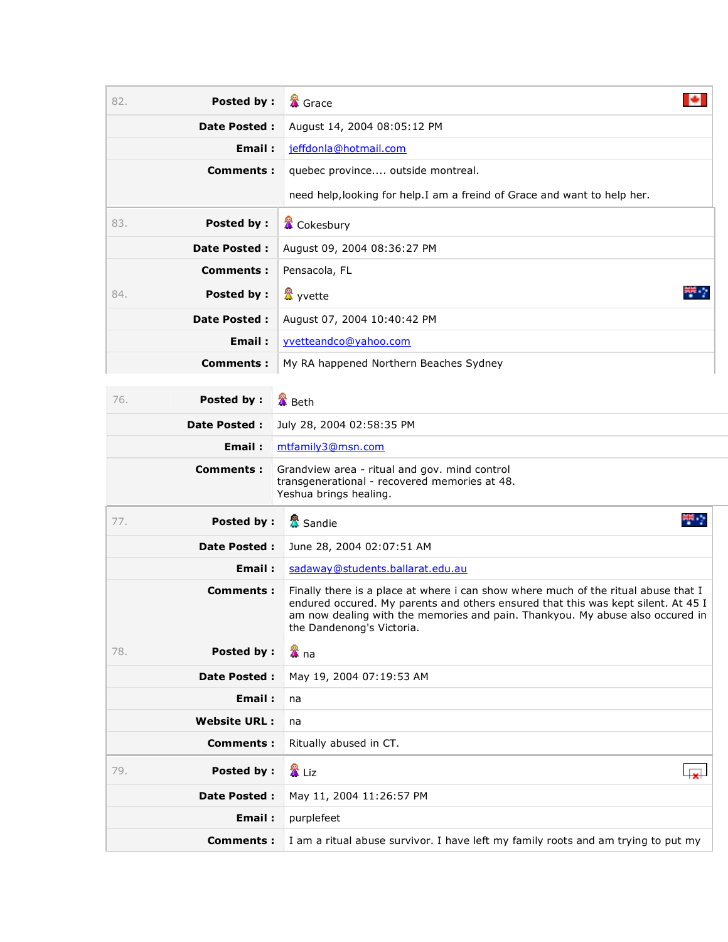| <b>Posted by:</b><br>82. | <b>&amp;</b> Grace                                                                                                                                                                                                                                                                    |
|--------------------------|---------------------------------------------------------------------------------------------------------------------------------------------------------------------------------------------------------------------------------------------------------------------------------------|
| Date Posted :            | August 14, 2004 08:05:12 PM                                                                                                                                                                                                                                                           |
| Email:                   | jeffdonla@hotmail.com                                                                                                                                                                                                                                                                 |
| <b>Comments:</b>         | quebec province outside montreal.                                                                                                                                                                                                                                                     |
|                          | need help, looking for help. I am a freind of Grace and want to help her.                                                                                                                                                                                                             |
| <b>Posted by:</b><br>83. | <b>置</b> Cokesbury                                                                                                                                                                                                                                                                    |
| Date Posted :            | August 09, 2004 08:36:27 PM                                                                                                                                                                                                                                                           |
| Comments:                | Pensacola, FL                                                                                                                                                                                                                                                                         |
| <b>Posted by:</b><br>84. | <b>盘</b> yvette                                                                                                                                                                                                                                                                       |
| Date Posted :            | August 07, 2004 10:40:42 PM                                                                                                                                                                                                                                                           |
| Email:                   | yvetteandco@yahoo.com                                                                                                                                                                                                                                                                 |
| <b>Comments:</b>         | My RA happened Northern Beaches Sydney                                                                                                                                                                                                                                                |
| <b>Posted by:</b><br>76. | <b>叠</b> Beth                                                                                                                                                                                                                                                                         |
| <b>Date Posted:</b>      | July 28, 2004 02:58:35 PM                                                                                                                                                                                                                                                             |
| Email:                   | mtfamily3@msn.com                                                                                                                                                                                                                                                                     |
| Comments:                | Grandview area - ritual and gov. mind control                                                                                                                                                                                                                                         |
|                          | transgenerational - recovered memories at 48.<br>Yeshua brings healing.                                                                                                                                                                                                               |
| <b>Posted by:</b><br>77. | ÷,<br><mark>公</mark> Sandie                                                                                                                                                                                                                                                           |
| <b>Date Posted:</b>      | June 28, 2004 02:07:51 AM                                                                                                                                                                                                                                                             |
| Email:                   | sadaway@students.ballarat.edu.au                                                                                                                                                                                                                                                      |
| <b>Comments:</b>         | Finally there is a place at where i can show where much of the ritual abuse that I<br>endured occured. My parents and others ensured that this was kept silent. At 45 I<br>am now dealing with the memories and pain. Thankyou. My abuse also occured in<br>the Dandenong's Victoria. |
| <b>Posted by:</b><br>78. | 魯<br>4 na                                                                                                                                                                                                                                                                             |
| Date Posted :            | May 19, 2004 07:19:53 AM                                                                                                                                                                                                                                                              |
| Email:                   | na                                                                                                                                                                                                                                                                                    |
| <b>Website URL:</b>      | na                                                                                                                                                                                                                                                                                    |
| <b>Comments:</b>         | Ritually abused in CT.                                                                                                                                                                                                                                                                |
| <b>Posted by:</b><br>79. | 魯 Liz                                                                                                                                                                                                                                                                                 |
| Date Posted :            | May 11, 2004 11:26:57 PM                                                                                                                                                                                                                                                              |
| Email:                   | purplefeet                                                                                                                                                                                                                                                                            |
| <b>Comments:</b>         | I am a ritual abuse survivor. I have left my family roots and am trying to put my                                                                                                                                                                                                     |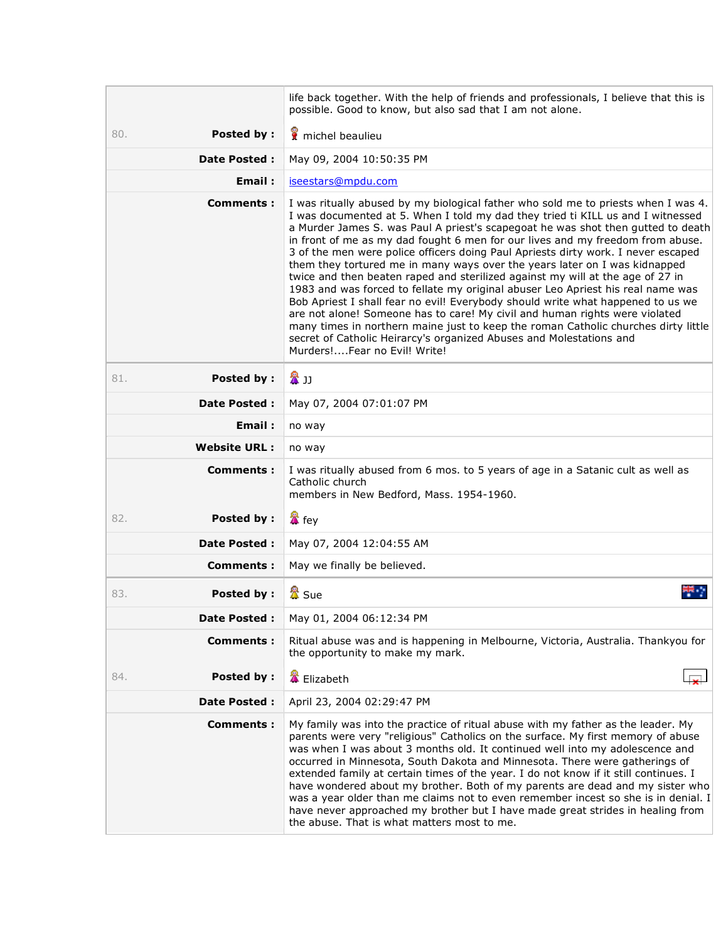|                          | life back together. With the help of friends and professionals, I believe that this is<br>possible. Good to know, but also sad that I am not alone.                                                                                                                                                                                                                                                                                                                                                                                                                                                                                                                                                                                                                                                                                                                                                                                                                                                                                                |
|--------------------------|----------------------------------------------------------------------------------------------------------------------------------------------------------------------------------------------------------------------------------------------------------------------------------------------------------------------------------------------------------------------------------------------------------------------------------------------------------------------------------------------------------------------------------------------------------------------------------------------------------------------------------------------------------------------------------------------------------------------------------------------------------------------------------------------------------------------------------------------------------------------------------------------------------------------------------------------------------------------------------------------------------------------------------------------------|
| <b>Posted by:</b><br>80. | michel beaulieu                                                                                                                                                                                                                                                                                                                                                                                                                                                                                                                                                                                                                                                                                                                                                                                                                                                                                                                                                                                                                                    |
| <b>Date Posted:</b>      | May 09, 2004 10:50:35 PM                                                                                                                                                                                                                                                                                                                                                                                                                                                                                                                                                                                                                                                                                                                                                                                                                                                                                                                                                                                                                           |
| Email:                   | iseestars@mpdu.com                                                                                                                                                                                                                                                                                                                                                                                                                                                                                                                                                                                                                                                                                                                                                                                                                                                                                                                                                                                                                                 |
| <b>Comments:</b>         | I was ritually abused by my biological father who sold me to priests when I was 4.<br>I was documented at 5. When I told my dad they tried ti KILL us and I witnessed<br>a Murder James S. was Paul A priest's scapegoat he was shot then gutted to death<br>in front of me as my dad fought 6 men for our lives and my freedom from abuse.<br>3 of the men were police officers doing Paul Apriests dirty work. I never escaped<br>them they tortured me in many ways over the years later on I was kidnapped<br>twice and then beaten raped and sterilized against my will at the age of 27 in<br>1983 and was forced to fellate my original abuser Leo Apriest his real name was<br>Bob Apriest I shall fear no evil! Everybody should write what happened to us we<br>are not alone! Someone has to care! My civil and human rights were violated<br>many times in northern maine just to keep the roman Catholic churches dirty little<br>secret of Catholic Heirarcy's organized Abuses and Molestations and<br>Murders!Fear no Evil! Write! |
| Posted by:<br>81.        | 魯山                                                                                                                                                                                                                                                                                                                                                                                                                                                                                                                                                                                                                                                                                                                                                                                                                                                                                                                                                                                                                                                 |
| <b>Date Posted:</b>      | May 07, 2004 07:01:07 PM                                                                                                                                                                                                                                                                                                                                                                                                                                                                                                                                                                                                                                                                                                                                                                                                                                                                                                                                                                                                                           |
| Email:                   | no way                                                                                                                                                                                                                                                                                                                                                                                                                                                                                                                                                                                                                                                                                                                                                                                                                                                                                                                                                                                                                                             |
| <b>Website URL:</b>      | no way                                                                                                                                                                                                                                                                                                                                                                                                                                                                                                                                                                                                                                                                                                                                                                                                                                                                                                                                                                                                                                             |
| Comments:                | I was ritually abused from 6 mos. to 5 years of age in a Satanic cult as well as<br>Catholic church<br>members in New Bedford, Mass. 1954-1960.                                                                                                                                                                                                                                                                                                                                                                                                                                                                                                                                                                                                                                                                                                                                                                                                                                                                                                    |
| Posted by:<br>82.        | <b>翼</b> fey                                                                                                                                                                                                                                                                                                                                                                                                                                                                                                                                                                                                                                                                                                                                                                                                                                                                                                                                                                                                                                       |
| <b>Date Posted:</b>      | May 07, 2004 12:04:55 AM                                                                                                                                                                                                                                                                                                                                                                                                                                                                                                                                                                                                                                                                                                                                                                                                                                                                                                                                                                                                                           |
| <b>Comments:</b>         | May we finally be believed.                                                                                                                                                                                                                                                                                                                                                                                                                                                                                                                                                                                                                                                                                                                                                                                                                                                                                                                                                                                                                        |
| Posted by:<br>83.        | 盘 Sue                                                                                                                                                                                                                                                                                                                                                                                                                                                                                                                                                                                                                                                                                                                                                                                                                                                                                                                                                                                                                                              |
| Date Posted :            | May 01, 2004 06:12:34 PM                                                                                                                                                                                                                                                                                                                                                                                                                                                                                                                                                                                                                                                                                                                                                                                                                                                                                                                                                                                                                           |
| Comments:                | Ritual abuse was and is happening in Melbourne, Victoria, Australia. Thankyou for<br>the opportunity to make my mark.                                                                                                                                                                                                                                                                                                                                                                                                                                                                                                                                                                                                                                                                                                                                                                                                                                                                                                                              |
| Posted by:<br>84.        | <b>■</b> Elizabeth                                                                                                                                                                                                                                                                                                                                                                                                                                                                                                                                                                                                                                                                                                                                                                                                                                                                                                                                                                                                                                 |
| Date Posted :            | April 23, 2004 02:29:47 PM                                                                                                                                                                                                                                                                                                                                                                                                                                                                                                                                                                                                                                                                                                                                                                                                                                                                                                                                                                                                                         |
| <b>Comments:</b>         | My family was into the practice of ritual abuse with my father as the leader. My<br>parents were very "religious" Catholics on the surface. My first memory of abuse<br>was when I was about 3 months old. It continued well into my adolescence and<br>occurred in Minnesota, South Dakota and Minnesota. There were gatherings of<br>extended family at certain times of the year. I do not know if it still continues. I<br>have wondered about my brother. Both of my parents are dead and my sister who<br>was a year older than me claims not to even remember incest so she is in denial. I<br>have never approached my brother but I have made great strides in healing from<br>the abuse. That is what matters most to me.                                                                                                                                                                                                                                                                                                                |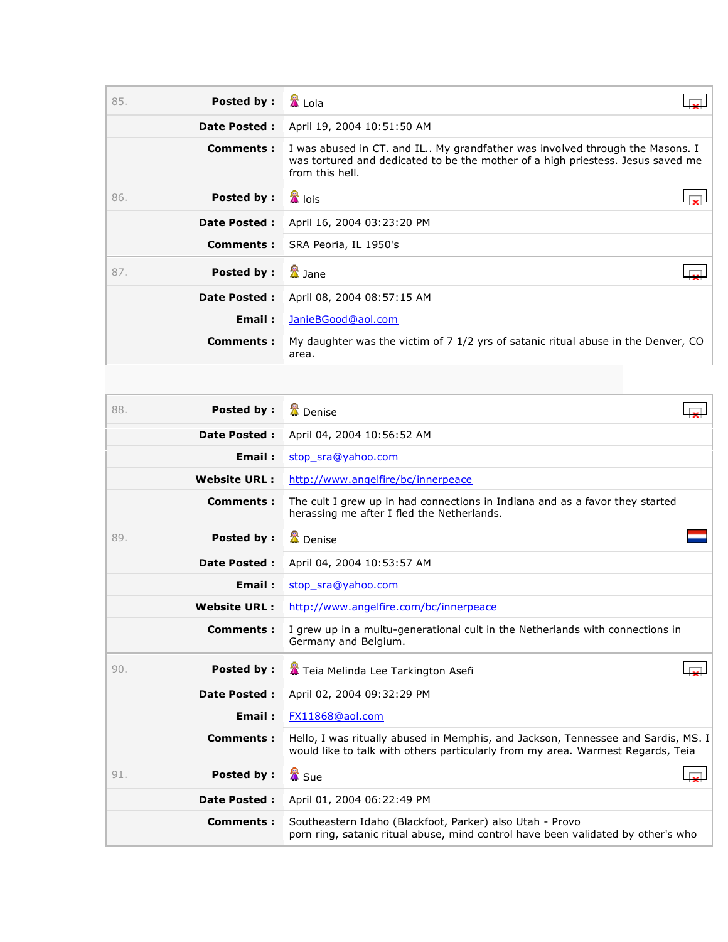| 85. | Posted by:          | & Lola                                                                                                                                                                             |
|-----|---------------------|------------------------------------------------------------------------------------------------------------------------------------------------------------------------------------|
|     | <b>Date Posted:</b> | April 19, 2004 10:51:50 AM                                                                                                                                                         |
|     | Comments:           | I was abused in CT. and IL My grandfather was involved through the Masons. I<br>was tortured and dedicated to be the mother of a high priestess. Jesus saved me<br>from this hell. |
| 86. | Posted by:          | <mark>公</mark> lois                                                                                                                                                                |
|     | <b>Date Posted:</b> | April 16, 2004 03:23:20 PM                                                                                                                                                         |
|     | <b>Comments:</b>    | SRA Peoria, IL 1950's                                                                                                                                                              |
| 87. | Posted by:          | 盘 Jane                                                                                                                                                                             |
|     | <b>Date Posted:</b> | April 08, 2004 08:57:15 AM                                                                                                                                                         |
|     | Email:              | JanieBGood@aol.com                                                                                                                                                                 |
|     | Comments:           | My daughter was the victim of 7 1/2 yrs of satanic ritual abuse in the Denver, CO<br>area.                                                                                         |

| <b>Posted by:</b><br>88. | <b>盘</b> Denise                                                                                                                                                      |
|--------------------------|----------------------------------------------------------------------------------------------------------------------------------------------------------------------|
| <b>Date Posted:</b>      | April 04, 2004 10:56:52 AM                                                                                                                                           |
| Email:                   | stop sra@yahoo.com                                                                                                                                                   |
| <b>Website URL:</b>      | http://www.angelfire/bc/innerpeace                                                                                                                                   |
| <b>Comments:</b>         | The cult I grew up in had connections in Indiana and as a favor they started<br>herassing me after I fled the Netherlands.                                           |
| Posted by:<br>89.        | <b>叠</b> Denise                                                                                                                                                      |
| <b>Date Posted:</b>      | April 04, 2004 10:53:57 AM                                                                                                                                           |
| Email:                   | stop sra@yahoo.com                                                                                                                                                   |
| <b>Website URL:</b>      | http://www.angelfire.com/bc/innerpeace                                                                                                                               |
| <b>Comments:</b>         | I grew up in a multu-generational cult in the Netherlands with connections in<br>Germany and Belgium.                                                                |
| 90.<br><b>Posted by:</b> | Teia Melinda Lee Tarkington Asefi                                                                                                                                    |
| <b>Date Posted:</b>      | April 02, 2004 09:32:29 PM                                                                                                                                           |
| Email:                   | FX11868@aol.com                                                                                                                                                      |
| <b>Comments:</b>         | Hello, I was ritually abused in Memphis, and Jackson, Tennessee and Sardis, MS. I<br>would like to talk with others particularly from my area. Warmest Regards, Teia |
| Posted by:<br>91.        | 魯 Sue                                                                                                                                                                |
| <b>Date Posted:</b>      | April 01, 2004 06:22:49 PM                                                                                                                                           |
| Comments:                | Southeastern Idaho (Blackfoot, Parker) also Utah - Provo<br>porn ring, satanic ritual abuse, mind control have been validated by other's who                         |